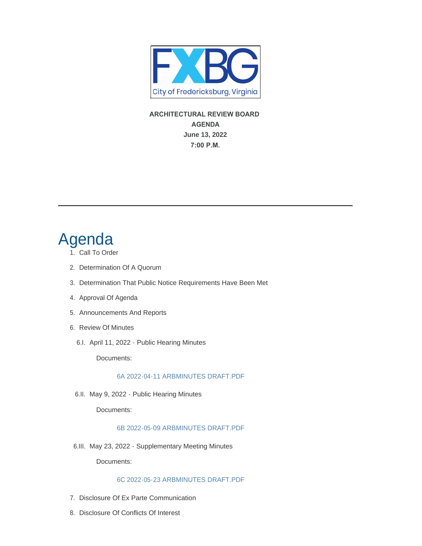

**ARCHITECTURAL REVIEW BOARD AGENDA June 13, 2022 7:00 P.M.** 

# Agenda

- 1. Call To Order
- 2. Determination Of A Quorum
- 3. Determination That Public Notice Requirements Have Been Met
- 4. Approval Of Agenda
- 5. Announcements And Reports
- 6. Review Of Minutes
	- 6.I. April 11, 2022 Public Hearing Minutes

Documents:

# [6A 2022-04-11 ARBMINUTES DRAFT.PDF](https://www.fredericksburgva.gov/AgendaCenter/ViewFile/Item/15359?fileID=12440)

6.II. May 9, 2022 - Public Hearing Minutes

Documents:

## [6B 2022-05-09 ARBMINUTES DRAFT.PDF](https://www.fredericksburgva.gov/AgendaCenter/ViewFile/Item/15360?fileID=12441)

6.III. May 23, 2022 - Supplementary Meeting Minutes

Documents:

## [6C 2022-05-23 ARBMINUTES DRAFT.PDF](https://www.fredericksburgva.gov/AgendaCenter/ViewFile/Item/15361?fileID=12442)

- 7. Disclosure Of Ex Parte Communication
- 8. Disclosure Of Conflicts Of Interest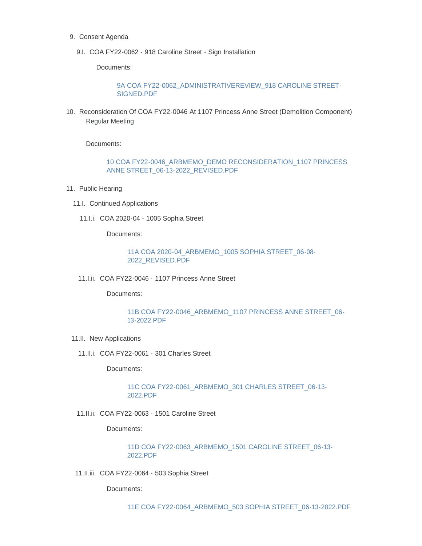- 9. Consent Agenda
	- 9.I. COA FY22-0062 918 Caroline Street Sign Installation

Documents:

[9A COA FY22-0062\\_ADMINISTRATIVEREVIEW\\_918 CAROLINE STREET-](https://www.fredericksburgva.gov/AgendaCenter/ViewFile/Item/15362?fileID=12443)SIGNED.PDF

10. Reconsideration Of COA FY22-0046 At 1107 Princess Anne Street (Demolition Component) Regular Meeting

Documents:

[10 COA FY22-0046\\_ARBMEMO\\_DEMO RECONSIDERATION\\_1107 PRINCESS](https://www.fredericksburgva.gov/AgendaCenter/ViewFile/Item/15430?fileID=12475)  ANNE STREET\_06-13-2022\_REVISED.PDF

- 11. Public Hearing
	- 11.I. Continued Applications
		- COA 2020-04 1005 Sophia Street 11.I.i.

Documents:

[11A COA 2020-04\\_ARBMEMO\\_1005 SOPHIA STREET\\_06-08-](https://www.fredericksburgva.gov/AgendaCenter/ViewFile/Item/15364?fileID=12445) 2022\_REVISED.PDF

COA FY22-0046 - 1107 Princess Anne Street 11.I.ii.

Documents:

[11B COA FY22-0046\\_ARBMEMO\\_1107 PRINCESS ANNE STREET\\_06-](https://www.fredericksburgva.gov/AgendaCenter/ViewFile/Item/15380?fileID=12451) 13-2022.PDF

- 11.II. New Applications
	- COA FY22-0061 301 Charles Street 11.II.i.

Documents:

[11C COA FY22-0061\\_ARBMEMO\\_301 CHARLES STREET\\_06-13-](https://www.fredericksburgva.gov/AgendaCenter/ViewFile/Item/15365?fileID=12446) 2022.PDF

COA FY22-0063 - 1501 Caroline Street 11.II.ii.

Documents:

[11D COA FY22-0063\\_ARBMEMO\\_1501 CAROLINE STREET\\_06-13-](https://www.fredericksburgva.gov/AgendaCenter/ViewFile/Item/15366?fileID=12447) 2022.PDF

COA FY22-0064 - 503 Sophia Street 11.II.iii.

Documents:

[11E COA FY22-0064\\_ARBMEMO\\_503 SOPHIA STREET\\_06-13-2022.PDF](https://www.fredericksburgva.gov/AgendaCenter/ViewFile/Item/15367?fileID=12448)